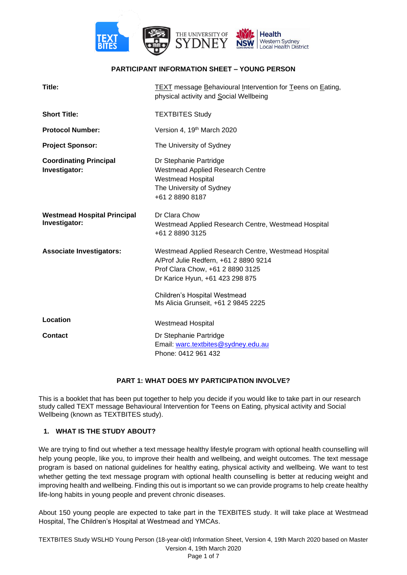

## **PARTICIPANT INFORMATION SHEET – YOUNG PERSON**

| Title:                                              | TEXT message Behavioural Intervention for Teens on Eating,<br>physical activity and Social Wellbeing                                                                |
|-----------------------------------------------------|---------------------------------------------------------------------------------------------------------------------------------------------------------------------|
| <b>Short Title:</b>                                 | <b>TEXTBITES Study</b>                                                                                                                                              |
| <b>Protocol Number:</b>                             | Version 4, 19 <sup>th</sup> March 2020                                                                                                                              |
| <b>Project Sponsor:</b>                             | The University of Sydney                                                                                                                                            |
| <b>Coordinating Principal</b><br>Investigator:      | Dr Stephanie Partridge<br><b>Westmead Applied Research Centre</b><br><b>Westmead Hospital</b><br>The University of Sydney<br>+61 2 8890 8187                        |
| <b>Westmead Hospital Principal</b><br>Investigator: | Dr Clara Chow<br>Westmead Applied Research Centre, Westmead Hospital<br>+61 2 8890 3125                                                                             |
| <b>Associate Investigators:</b>                     | Westmead Applied Research Centre, Westmead Hospital<br>A/Prof Julie Redfern, +61 2 8890 9214<br>Prof Clara Chow, +61 2 8890 3125<br>Dr Karice Hyun, +61 423 298 875 |
|                                                     | Children's Hospital Westmead<br>Ms Alicia Grunseit, +61 2 9845 2225                                                                                                 |
| Location                                            | <b>Westmead Hospital</b>                                                                                                                                            |
| <b>Contact</b>                                      | Dr Stephanie Partridge<br>Email: warc.textbites@sydney.edu.au<br>Phone: 0412 961 432                                                                                |

## **PART 1: WHAT DOES MY PARTICIPATION INVOLVE?**

This is a booklet that has been put together to help you decide if you would like to take part in our research study called TEXT message Behavioural Intervention for Teens on Eating, physical activity and Social Wellbeing (known as TEXTBITES study).

## **1. WHAT IS THE STUDY ABOUT?**

We are trying to find out whether a text message healthy lifestyle program with optional health counselling will help young people, like you, to improve their health and wellbeing, and weight outcomes. The text message program is based on national guidelines for healthy eating, physical activity and wellbeing. We want to test whether getting the text message program with optional health counselling is better at reducing weight and improving health and wellbeing. Finding this out is important so we can provide programs to help create healthy life-long habits in young people and prevent chronic diseases.

About 150 young people are expected to take part in the TEXBITES study. It will take place at Westmead Hospital, The Children's Hospital at Westmead and YMCAs.

TEXTBITES Study WSLHD Young Person (18-year-old) Information Sheet, Version 4, 19th March 2020 based on Master Version 4, 19th March 2020 Page 1 of 7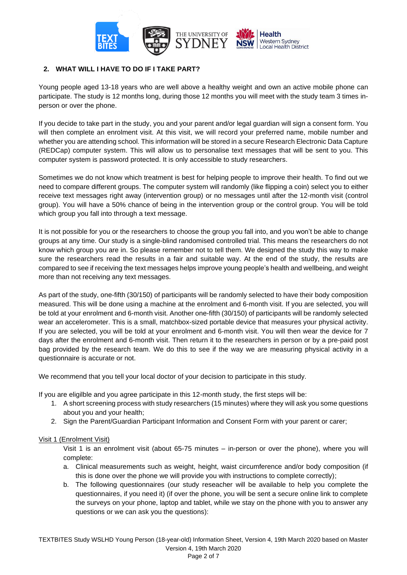

# **2. WHAT WILL I HAVE TO DO IF I TAKE PART?**

Young people aged 13-18 years who are well above a healthy weight and own an active mobile phone can participate. The study is 12 months long, during those 12 months you will meet with the study team 3 times inperson or over the phone.

If you decide to take part in the study, you and your parent and/or legal guardian will sign a consent form. You will then complete an enrolment visit. At this visit, we will record your preferred name, mobile number and whether you are attending school. This information will be stored in a secure Research Electronic Data Capture (REDCap) computer system. This will allow us to personalise text messages that will be sent to you. This computer system is password protected. It is only accessible to study researchers.

Sometimes we do not know which treatment is best for helping people to improve their health. To find out we need to compare different groups. The computer system will randomly (like flipping a coin) select you to either receive text messages right away (intervention group) or no messages until after the 12-month visit (control group). You will have a 50% chance of being in the intervention group or the control group. You will be told which group you fall into through a text message.

It is not possible for you or the researchers to choose the group you fall into, and you won't be able to change groups at any time. Our study is a single-blind randomised controlled trial. This means the researchers do not know which group you are in. So please remember not to tell them. We designed the study this way to make sure the researchers read the results in a fair and suitable way. At the end of the study, the results are compared to see if receiving the text messages helps improve young people's health and wellbeing, and weight more than not receiving any text messages.

As part of the study, one-fifth (30/150) of participants will be randomly selected to have their body composition measured. This will be done using a machine at the enrolment and 6-month visit. If you are selected, you will be told at your enrolment and 6-month visit. Another one-fifth (30/150) of participants will be randomly selected wear an accelerometer. This is a small, matchbox-sized portable device that measures your physical activity. If you are selected, you will be told at your enrolment and 6-month visit. You will then wear the device for 7 days after the enrolment and 6-month visit. Then return it to the researchers in person or by a pre-paid post bag provided by the research team. We do this to see if the way we are measuring physical activity in a questionnaire is accurate or not.

We recommend that you tell your local doctor of your decision to participate in this study.

If you are eligilble and you agree participate in this 12-month study, the first steps will be:

- 1. A short screening process with study researchers (15 minutes) where they will ask you some questions about you and your health;
- 2. Sign the Parent/Guardian Participant Information and Consent Form with your parent or carer;

## Visit 1 (Enrolment Visit)

Visit 1 is an enrolment visit (about 65-75 minutes – in-person or over the phone), where you will complete:

- a. Clinical measurements such as weight, height, waist circumference and/or body composition (if this is done over the phone we will provide you with instructions to complete correctly);
- b. The following questionnaires (our study reseacher will be available to help you complete the questionnaires, if you need it) (if over the phone, you will be sent a secure online link to complete the surveys on your phone, laptop and tablet, while we stay on the phone with you to answer any questions or we can ask you the questions):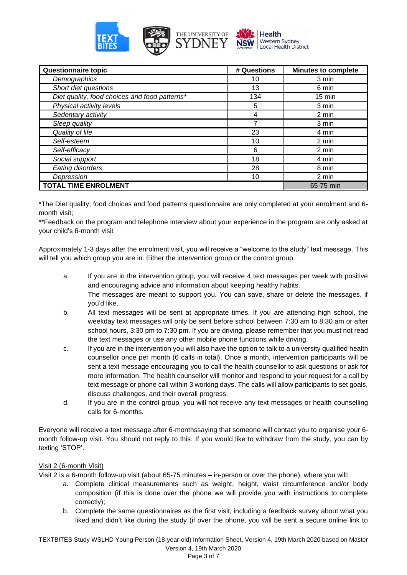

| Questionnaire topic                           | # Questions | <b>Minutes to complete</b> |
|-----------------------------------------------|-------------|----------------------------|
| Demographics                                  | 10          | 3 min                      |
| Short diet questions                          | 13          | 6 min                      |
| Diet quality, food choices and food patterns* | 134         | $15 \text{ min}$           |
| Physical activity levels                      | 5           | 3 min                      |
| Sedentary activity                            | 4           | 2 min                      |
| Sleep quality                                 |             | 3 min                      |
| Quality of life                               | 23          | 4 min                      |
| Self-esteem                                   | 10          | 2 min                      |
| Self-efficacy                                 | 6           | 2 min                      |
| Social support                                | 18          | 4 min                      |
| Eating disorders                              | 28          | 8 min                      |
| Depression                                    | 10          | 2 min                      |
| <b>TOTAL TIME ENROLMENT</b>                   |             | 65-75 min                  |

\*The Diet quality, food choices and food patterns questionnaire are only completed at your enrolment and 6 month visit;

\*\*Feedback on the program and telephone interview about your experience in the program are only asked at your child's 6-month visit

Approximately 1-3 days after the enrolment visit, you will receive a "welcome to the study" text message. This will tell you which group you are in. Either the intervention group or the control group.

- a. If you are in the intervention group, you will receive 4 text messages per week with positive and encouraging advice and information about keeping healthy habits. The messages are meant to support you. You can save, share or delete the messages, if you'd like.
- b. All text messages will be sent at appropriate times. If you are attending high school, the weekday text messages will only be sent before school between 7:30 am to 8:30 am or after school hours, 3:30 pm to 7:30 pm. If you are driving, please remember that you must not read the text messages or use any other mobile phone functions while driving.
- c. If you are in the intervention you will also have the option to talk to a university qualified health counsellor once per month (6 calls in total). Once a month, intervention participants will be sent a text message encouraging you to call the health counsellor to ask questions or ask for more information. The health counsellor will monitor and respond to your request for a call by text message or phone call within 3 working days. The calls will allow participants to set goals, discuss challenges, and their overall progress.
- d. If you are in the control group, you will not receive any text messages or health counselling calls for 6-months.

Everyone will receive a text message after 6-monthssaying that someone will contact you to organise your 6 month follow-up visit. You should not reply to this. If you would like to withdraw from the study, you can by texting 'STOP'.

## Visit 2 (6-month Visit)

Visit 2 is a 6-month follow-up visit (about 65-75 minutes – in-person or over the phone), where you will:

- a. Complete clinical measurements such as weight, height, waist circumference and/or body composition (if this is done over the phone we will provide you with instructions to complete correctly);
- b. Complete the same questionnaires as the first visit, including a feedback survey about what you liked and didn't like during the study (if over the phone, you will be sent a secure online link to

TEXTBITES Study WSLHD Young Person (18-year-old) Information Sheet, Version 4, 19th March 2020 based on Master Version 4, 19th March 2020 Page 3 of 7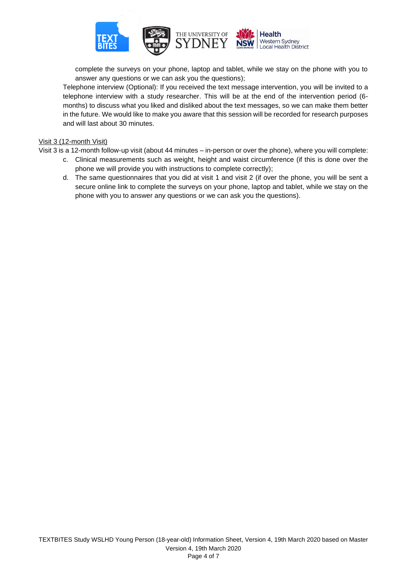

complete the surveys on your phone, laptop and tablet, while we stay on the phone with you to answer any questions or we can ask you the questions);

Telephone interview (Optional): If you received the text message intervention, you will be invited to a telephone interview with a study researcher. This will be at the end of the intervention period (6 months) to discuss what you liked and disliked about the text messages, so we can make them better in the future. We would like to make you aware that this session will be recorded for research purposes and will last about 30 minutes.

#### Visit 3 (12-month Visit)

Visit 3 is a 12-month follow-up visit (about 44 minutes – in-person or over the phone), where you will complete:

- c. Clinical measurements such as weight, height and waist circumference (if this is done over the phone we will provide you with instructions to complete correctly);
- d. The same questionnaires that you did at visit 1 and visit 2 (if over the phone, you will be sent a secure online link to complete the surveys on your phone, laptop and tablet, while we stay on the phone with you to answer any questions or we can ask you the questions).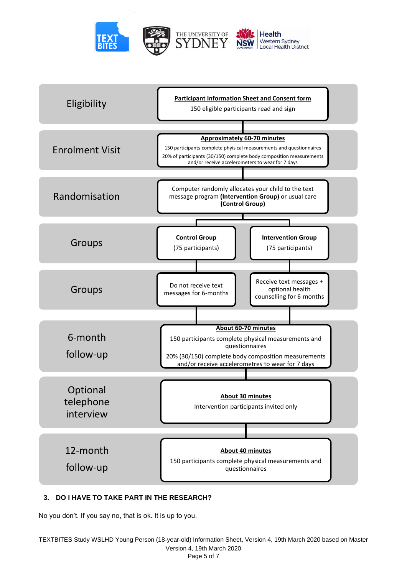



## **3. DO I HAVE TO TAKE PART IN THE RESEARCH?**

No you don't. If you say no, that is ok. It is up to you.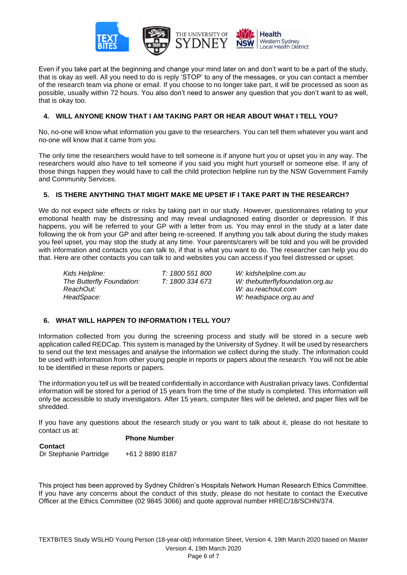

Even if you take part at the beginning and change your mind later on and don't want to be a part of the study, that is okay as well. All you need to do is reply 'STOP' to any of the messages, or you can contact a member of the research team via phone or email. If you choose to no longer take part, it will be processed as soon as possible, usually within 72 hours. You also don't need to answer any question that you don't want to as well, that is okay too.

## **4. WILL ANYONE KNOW THAT I AM TAKING PART OR HEAR ABOUT WHAT I TELL YOU?**

No, no-one will know what information you gave to the researchers. You can tell them whatever you want and no-one will know that it came from you.

The only time the researchers would have to tell someone is if anyone hurt you or upset you in any way. The researchers would also have to tell someone if you said you might hurt yourself or someone else. If any of those things happen they would have to call the child protection helpline run by the NSW Government Family and Community Services.

## **5. IS THERE ANYTHING THAT MIGHT MAKE ME UPSET IF I TAKE PART IN THE RESEARCH?**

We do not expect side effects or risks by taking part in our study. However, questionnaires relating to your emotional health may be distressing and may reveal undiagnosed eating disorder or depression. If this happens, you will be referred to your GP with a letter from us. You may enrol in the study at a later date following the ok from your GP and after being re-screened. If anything you talk about during the study makes you feel upset, you may stop the study at any time. Your parents/carers will be told and you will be provided with information and contacts you can talk to, if that is what you want to do. The researcher can help you do that. Here are other contacts you can talk to and websites you can access if you feel distressed or upset.

| Kids Helpline:<br>The Butterfly Foundation: | T: 1800 551 800<br>T: 1800 334 673 | W: kidshelpline.com.au<br>W: thebutterflyfoundation.org.au |
|---------------------------------------------|------------------------------------|------------------------------------------------------------|
| ReachOut:                                   |                                    | W: au.reachout.com                                         |
| HeadSpace:                                  |                                    | W: headspace.org.au and                                    |

## **6. WHAT WILL HAPPEN TO INFORMATION I TELL YOU?**

Information collected from you during the screening process and study will be stored in a secure web application called REDCap. This system is managed by the University of Sydney. It will be used by researchers to send out the text messages and analyse the information we collect during the study. The information could be used with information from other young people in reports or papers about the research. You will not be able to be identified in these reports or papers.

The information you tell us will be treated confidentially in accordance with Australian privacy laws. Confidential information will be stored for a period of 15 years from the time of the study is completed. This information will only be accessible to study investigators. After 15 years, computer files will be deleted, and paper files will be shredded.

If you have any questions about the research study or you want to talk about it, please do not hesitate to contact us at:

#### **Phone Number**

| <b>Contact</b>         |                 |
|------------------------|-----------------|
| Dr Stephanie Partridge | +61 2 8890 8187 |

This project has been approved by Sydney Children's Hospitals Network Human Research Ethics Committee. If you have any concerns about the conduct of this study, please do not hesitate to contact the Executive Officer at the Ethics Committee (02 9845 3066) and quote approval number HREC/18/SCHN/374.